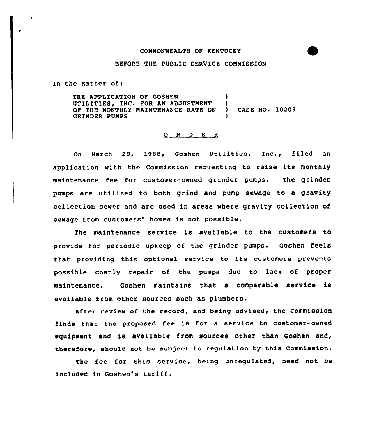## COMMONWEALTH OF KENTUCKY

## BEFORE THE PUBLIC SERVICE CONNISSION

In the Natter of:

THE APPLICATION OF GOSHEN (1998) UTILITIES, INC. FOR AN ADJUSTMENT )<br>OF THE MONTHLY MAINTENANCE RATE ON ) OF THE NONTHLY MAINTENANCE RATE ON ) CASE NO. 10209 **GRINDER PUMPS** 

## 0 <sup>R</sup> <sup>D</sup> E R

On March 28, l988, Goshen Utilities, Inc., filed an application with the Commission requesting to raise its monthly maintenance fee for customer-owned grinder pumps. The grinder pumps are utilized to both grind and pump sewage to a gravity collection sewer and are used in areas where gravity collection of sewage from customers' homes is not possible.

The maintenance service is available to the customers to provide for periodic upkeep of the grinder pumps. Goshen feels that providing this optional service to its customers prevents possible costly repair of the pumps due to lack of proper maintenance. Goshen maintains that a comparable service is available from other sources such as plumbers.

After review of the record, and being advised, the commission finds that the proposed fee is for a service to customer-owned equipment and is available from sources other than Goshen and, therefore, should not be subject to regulation by this Commission.

The fee for this service, being unregulated, need not be included in Goshen's tariff.